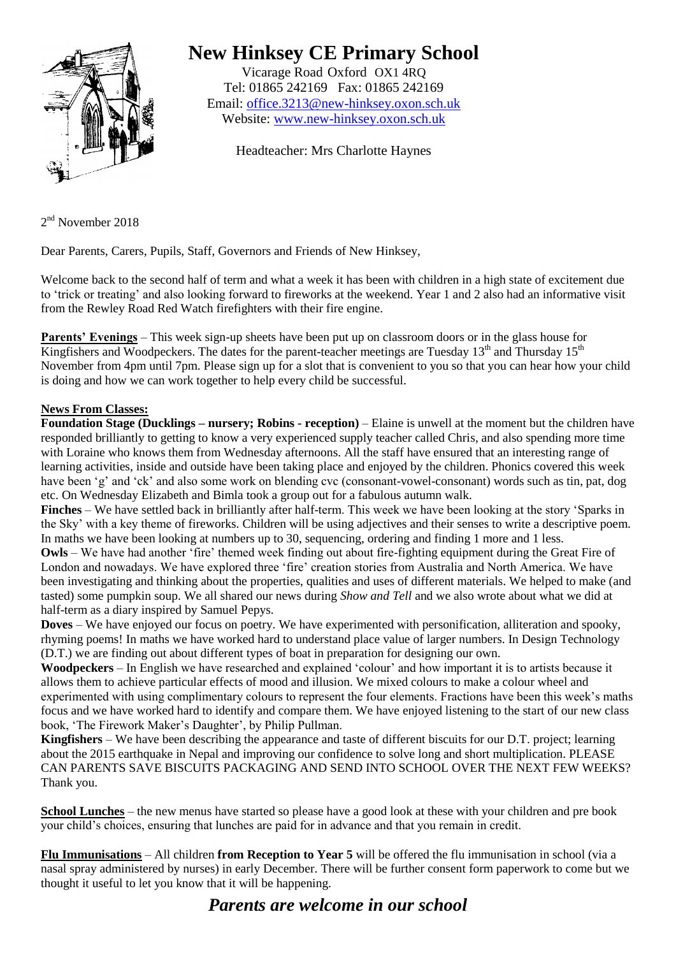

## **New Hinksey CE Primary School**

Vicarage Road Oxford OX1 4RQ Tel: 01865 242169 Fax: 01865 242169 Email: [office.3213@new-hinksey.oxon.sch.uk](mailto:office.3213@new-hinksey.oxon.sch.uk) Website: [www.new-hinksey.oxon.sch.uk](http://www.new-hinksey.oxon.sch.uk/)

Headteacher: Mrs Charlotte Haynes

2<sup>nd</sup> November 2018

Dear Parents, Carers, Pupils, Staff, Governors and Friends of New Hinksey,

Welcome back to the second half of term and what a week it has been with children in a high state of excitement due to 'trick or treating' and also looking forward to fireworks at the weekend. Year 1 and 2 also had an informative visit from the Rewley Road Red Watch firefighters with their fire engine.

**Parents' Evenings** – This week sign-up sheets have been put up on classroom doors or in the glass house for Kingfishers and Woodpeckers. The dates for the parent-teacher meetings are Tuesday  $13<sup>th</sup>$  and Thursday  $15<sup>th</sup>$ November from 4pm until 7pm. Please sign up for a slot that is convenient to you so that you can hear how your child is doing and how we can work together to help every child be successful.

## **News From Classes:**

**Foundation Stage (Ducklings – nursery; Robins - reception)** – Elaine is unwell at the moment but the children have responded brilliantly to getting to know a very experienced supply teacher called Chris, and also spending more time with Loraine who knows them from Wednesday afternoons. All the staff have ensured that an interesting range of learning activities, inside and outside have been taking place and enjoyed by the children. Phonics covered this week have been 'g' and 'ck' and also some work on blending cvc (consonant-vowel-consonant) words such as tin, pat, dog etc. On Wednesday Elizabeth and Bimla took a group out for a fabulous autumn walk.

**Finches** – We have settled back in brilliantly after half-term. This week we have been looking at the story 'Sparks in the Sky' with a key theme of fireworks. Children will be using adjectives and their senses to write a descriptive poem. In maths we have been looking at numbers up to 30, sequencing, ordering and finding 1 more and 1 less.

**Owls** – We have had another 'fire' themed week finding out about fire-fighting equipment during the Great Fire of London and nowadays. We have explored three 'fire' creation stories from Australia and North America. We have been investigating and thinking about the properties, qualities and uses of different materials. We helped to make (and tasted) some pumpkin soup. We all shared our news during *Show and Tell* and we also wrote about what we did at half-term as a diary inspired by Samuel Pepys.

**Doves** – We have enjoyed our focus on poetry. We have experimented with personification, alliteration and spooky, rhyming poems! In maths we have worked hard to understand place value of larger numbers. In Design Technology (D.T.) we are finding out about different types of boat in preparation for designing our own.

**Woodpeckers** – In English we have researched and explained 'colour' and how important it is to artists because it allows them to achieve particular effects of mood and illusion. We mixed colours to make a colour wheel and experimented with using complimentary colours to represent the four elements. Fractions have been this week's maths focus and we have worked hard to identify and compare them. We have enjoyed listening to the start of our new class book, 'The Firework Maker's Daughter', by Philip Pullman.

**Kingfishers** – We have been describing the appearance and taste of different biscuits for our D.T. project; learning about the 2015 earthquake in Nepal and improving our confidence to solve long and short multiplication. PLEASE CAN PARENTS SAVE BISCUITS PACKAGING AND SEND INTO SCHOOL OVER THE NEXT FEW WEEKS? Thank you.

**School Lunches** – the new menus have started so please have a good look at these with your children and pre book your child's choices, ensuring that lunches are paid for in advance and that you remain in credit.

**Flu Immunisations** – All children **from Reception to Year 5** will be offered the flu immunisation in school (via a nasal spray administered by nurses) in early December. There will be further consent form paperwork to come but we thought it useful to let you know that it will be happening.

## *Parents are welcome in our school*